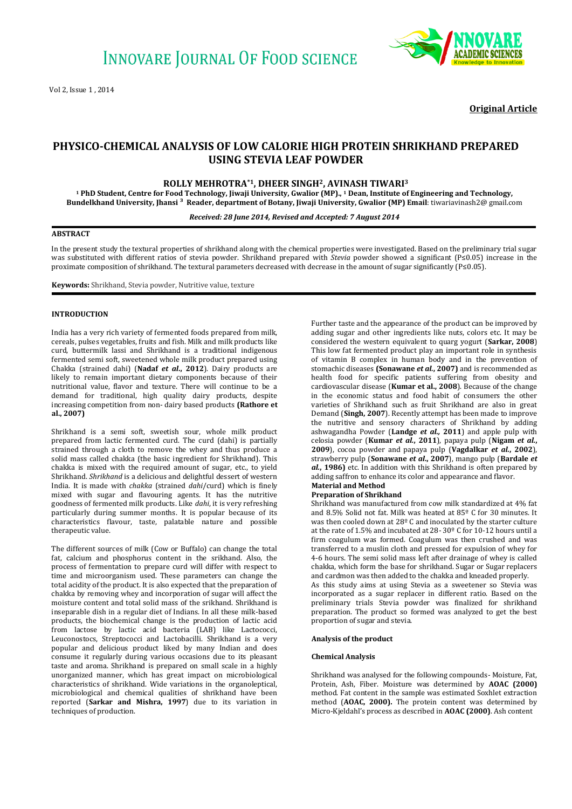

**Original Article**

# **PHYSICO-CHEMICAL ANALYSIS OF LOW CALORIE HIGH PROTEIN SHRIKHAND PREPARED USING STEVIA LEAF POWDER**

# **ROLLY MEHROTRA\*1, DHEER SINGH2, AVINASH TIWARI<sup>3</sup>**

**<sup>1</sup> PhD Student, Centre for Food Technology, Jiwaji University, Gwalior (MP)., <sup>1</sup> Dean, Institute of Engineering and Technology, Bundelkhand University, Jhansi ³ Reader, department of Botany, Jiwaji University, Gwalior (MP) Email**: tiwariavinash2@ gmail.com

## *Received: 28 June 2014, Revised and Accepted: 7 August 2014*

#### **ABSTRACT**

In the present study the textural properties of shrikhand along with the chemical properties were investigated. Based on the preliminary trial sugar was substituted with different ratios of stevia powder. Shrikhand prepared with *Stevia* powder showed a significant (P≤0.05) increase in the proximate composition of shrikhand. The textural parameters decreased with decrease in the amount of sugar significantly (P≤0.05).

**Keywords:** Shrikhand, Stevia powder, Nutritive value, texture

### **INTRODUCTION**

India has a very rich variety of fermented foods prepared from milk, cereals, pulses vegetables, fruits and fish. Milk and milk products like curd, buttermilk lassi and Shrikhand is a traditional indigenous fermented semi soft, sweetened whole milk product prepared using Chakka (strained dahi) (**Nadaf** *et al***., 2012**). Dairy products are likely to remain important dietary components because of their nutritional value, flavor and texture. There will continue to be a demand for traditional, high quality dairy products, despite increasing competition from non- dairy based products **(Rathore et al., 2007)**

Shrikhand is a semi soft, sweetish sour, whole milk product prepared from lactic fermented curd. The curd (dahi) is partially strained through a cloth to remove the whey and thus produce a solid mass called chakka (the basic ingredient for Shrikhand). This chakka is mixed with the required amount of sugar, etc., to yield Shrikhand. *Shrikhand* is a delicious and delightful dessert of western India. It is made with *chakka* (strained *dahi*/curd) which is finely mixed with sugar and flavouring agents. It has the nutritive goodness of fermented milk products. Like *dahi*, it is very refreshing particularly during summer months. It is popular because of its characteristics flavour, taste, palatable nature and possible therapeutic value.

The different sources of milk (Cow or Buffalo) can change the total fat, calcium and phosphorus content in the srikhand. Also, the process of fermentation to prepare curd will differ with respect to time and microorganism used. These parameters can change the total acidity of the product. It is also expected that the preparation of chakka by removing whey and incorporation of sugar will affect the moisture content and total solid mass of the srikhand. Shrikhand is inseparable dish in a regular diet of Indians. In all these milk-based products, the biochemical change is the production of lactic acid from lactose by lactic acid bacteria (LAB) like Lactococci, Leuconostocs, Streptococci and Lactobacilli. Shrikhand is a very popular and delicious product liked by many Indian and does consume it regularly during various occasions due to its pleasant taste and aroma. Shrikhand is prepared on small scale in a highly unorganized manner, which has great impact on microbiological characteristics of shrikhand. Wide variations in the organoleptical, microbiological and chemical qualities of shrikhand have been reported (**Sarkar and Mishra, 1997**) due to its variation in techniques of production.

Further taste and the appearance of the product can be improved by adding sugar and other ingredients like nuts, colors etc. It may be considered the western equivalent to quarg yogurt (**Sarkar, 2008**) This low fat fermented product play an important role in synthesis of vitamin B complex in human body and in the prevention of stomachic diseases **(Sonawane** *et al.***, 2007)** and is recommended as health food for specific patients suffering from obesity and cardiovascular disease (**Kumar et al., 2008**). Because of the change in the economic status and food habit of consumers the other varieties of Shrikhand such as fruit Shrikhand are also in great Demand (**Singh, 2007**). Recently attempt has been made to improve the nutritive and sensory characters of Shrikhand by adding ashwagandha Powder (**Landge** *et al.,* **2011**) and apple pulp with celosia powder (**Kumar** *et al.***, 2011**), papaya pulp (**Nigam** *et al.***, 2009**), cocoa powder and papaya pulp (**Vagdalkar** *et al.***, 2002**), strawberry pulp (**Sonawane** *et al***., 2007**), mango pulp (**Bardale** *et al.***, 1986)** etc. In addition with this Shrikhand is often prepared by adding saffron to enhance its color and appearance and flavor. **Material and Method**

#### **Preparation of Shrikhand**

Shrikhand was manufactured from cow milk standardized at 4% fat and 8.5% Solid not fat. Milk was heated at 85º C for 30 minutes. It was then cooled down at 28º C and inoculated by the starter culture at the rate of 1.5% and incubated at 28- 30º C for 10-12 hours until a firm coagulum was formed. Coagulum was then crushed and was transferred to a muslin cloth and pressed for expulsion of whey for 4-6 hours. The semi solid mass left after drainage of whey is called chakka, which form the base for shrikhand. Sugar or Sugar replacers and cardmon was then added to the chakka and kneaded properly. As this study aims at using Stevia as a sweetener so Stevia was incorporated as a sugar replacer in different ratio. Based on the preliminary trials Stevia powder was finalized for shrikhand preparation. The product so formed was analyzed to get the best proportion of sugar and stevia.

#### **Analysis of the product**

#### **Chemical Analysis**

Shrikhand was analysed for the following compounds- Moisture, Fat, Protein, Ash, Fiber. Moisture was determined by **AOAC (2000)**  method. Fat content in the sample was estimated Soxhlet extraction method (**AOAC, 2000).** The protein content was determined by Micro-Kjeldahl's process as described in **AOAC (2000)**. Ash content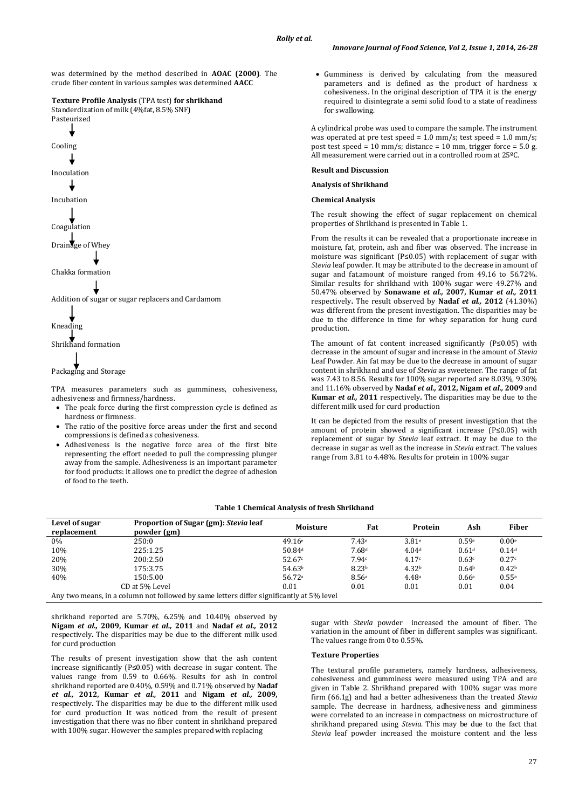was determined by the method described in **AOAC (2000)**. The crude fiber content in various samples was determined **AACC** 

#### **Texture Profile Analysis** (TPA test) **for shrikhand** Standerdization of milk (4%fat, 8.5% SNF)

Pasteurized Cooling Inoculation Incubation Coagulation Drainage of Whey Chakka formation Addition of sugar or sugar replacers and Cardamom Kneading Shrikhand formation

Packaging and Storage

TPA measures parameters such as gumminess, cohesiveness, adhesiveness and firmness/hardness.

- The peak force during the first compression cycle is defined as hardness or firmness.
- The ratio of the positive force areas under the first and second compressions is defined as cohesiveness.
- Adhesiveness is the negative force area of the first bite representing the effort needed to pull the compressing plunger away from the sample. Adhesiveness is an important parameter for food products: it allows one to predict the degree of adhesion of food to the teeth.

 Gumminess is derived by calculating from the measured parameters and is defined as the product of hardness x cohesiveness. In the original description of TPA it is the energy required to disintegrate a semi solid food to a state of readiness for swallowing.

A cylindrical probe was used to compare the sample. The instrument was operated at pre test speed =  $1.0 \text{ mm/s}$ ; test speed =  $1.0 \text{ mm/s}$ ; post test speed = 10 mm/s; distance = 10 mm, trigger force =  $5.0$  g. All measurement were carried out in a controlled room at 25ºC.

### **Result and Discussion**

# **Analysis of Shrikhand**

#### **Chemical Analysis**

The result showing the effect of sugar replacement on chemical properties of Shrikhand is presented in Table 1.

From the results it can be revealed that a proportionate increase in moisture, fat, protein, ash and fiber was observed. The increase in moisture was significant (P≤0.05) with replacement of sugar with *Stevia* leaf powder. It may be attributed to the decrease in amount of sugar and fat.amount of moisture ranged from 49.16 to 56.72%. Similar results for shrikhand with 100% sugar were 49.27% and 50.47% observed by **Sonawane** *et al.,* **2007, Kumar** *et al.,* **2011**  respectively**.** The result observed by **Nadaf** *et al.,* **2012** (41.30%) was different from the present investigation. The disparities may be due to the difference in time for whey separation for hung curd production.

The amount of fat content increased significantly (P≤0.05) with decrease in the amount of sugar and increase in the amount of *Stevia* Leaf Powder. Ain fat may be due to the decrease in amount of sugar content in shrikhand and use of *Stevia* as sweetener. The range of fat was 7.43 to 8.56. Results for 100% sugar reported are 8.03%, 9.30% and 11.16% observed by **Nadaf** *et al.,* **2012, Nigam** *et al.,* **2009** and **Kumar** *et al.,* **2011** respectively**.** The disparities may be due to the different milk used for curd production

It can be depicted from the results of present investigation that the amount of protein showed a significant increase (P≤0.05) with replacement of sugar by *Stevia* leaf extract. It may be due to the decrease in sugar as well as the increase in *Stevia* extract. The values range from 3.81 to 4.48%. Results for protein in 100% sugar

### **Table 1 Chemical Analysis of fresh Shrikhand**

| Level of sugar<br>replacement                                                            | Proportion of Sugar (gm): Stevia leaf<br>powder (gm) | Moisture           | Fat               | Protein           | Ash               | <b>Fiber</b>      |  |  |
|------------------------------------------------------------------------------------------|------------------------------------------------------|--------------------|-------------------|-------------------|-------------------|-------------------|--|--|
| $0\%$                                                                                    | 250:0                                                | 49.16e             | 7.43e             | 3.81 <sup>e</sup> | 0.59e             | 0.00e             |  |  |
| 10%                                                                                      | 225:1.25                                             | 50.84 <sup>d</sup> | 7.68 <sup>d</sup> | 4.04 <sup>d</sup> | 0.61 <sup>d</sup> | 0.14 <sup>d</sup> |  |  |
| 20%                                                                                      | 200:2.50                                             | 52.67c             | 7.94c             | 4.17c             | 0.63c             | 0.27c             |  |  |
| 30%                                                                                      | 175:3.75                                             | 54.63 <sup>b</sup> | 8.23 <sup>b</sup> | 4.32 <sup>b</sup> | 0.64 <sup>b</sup> | 0.42 <sup>b</sup> |  |  |
| 40%                                                                                      | 150:5.00                                             | 56.72 <sup>a</sup> | 8.56a             | 4.48 <sup>a</sup> | 0.66 <sup>a</sup> | 0.55a             |  |  |
|                                                                                          | CD at 5% Level                                       | 0.01               | 0.01              | 0.01              | 0.01              | 0.04              |  |  |
| Any two means, in a column not followed by same letters differ significantly at 5% level |                                                      |                    |                   |                   |                   |                   |  |  |

shrikhand reported are 5.70%, 6.25% and 10.40% observed by **Nigam** *et al.,* **2009, Kumar** *et al.,* **2011** and **Nadaf** *et al.,* **2012**  respectively**.** The disparities may be due to the different milk used for curd production

The results of present investigation show that the ash content increase significantly (P≤0.05) with decrease in sugar content. The values range from 0.59 to 0.66%. Results for ash in control shrikhand reported are 0.40%, 0.59% and 0.71% observed by **Nadaf**  *et al.,* **2012, Kumar** *et al.,* **2011** and **Nigam** *et al.,* **2009,**  respectively**.** The disparities may be due to the different milk used for curd production It was noticed from the result of present investigation that there was no fiber content in shrikhand prepared with 100% sugar. However the samples prepared with replacing

sugar with *Stevia* powder increased the amount of fiber. The variation in the amount of fiber in different samples was significant. The values range from 0 to 0.55%.

# **Texture Properties**

The textural profile parameters, namely hardness, adhesiveness, cohesiveness and gumminess were measured using TPA and are given in Table 2. Shrikhand prepared with 100% sugar was more firm (66.1g) and had a better adhesiveness than the treated *Stevia* sample. The decrease in hardness, adhesiveness and gimminess were correlated to an increase in compactness on microstructure of shrikhand prepared using *Stevia*. This may be due to the fact that *Stevia* leaf powder increased the moisture content and the less